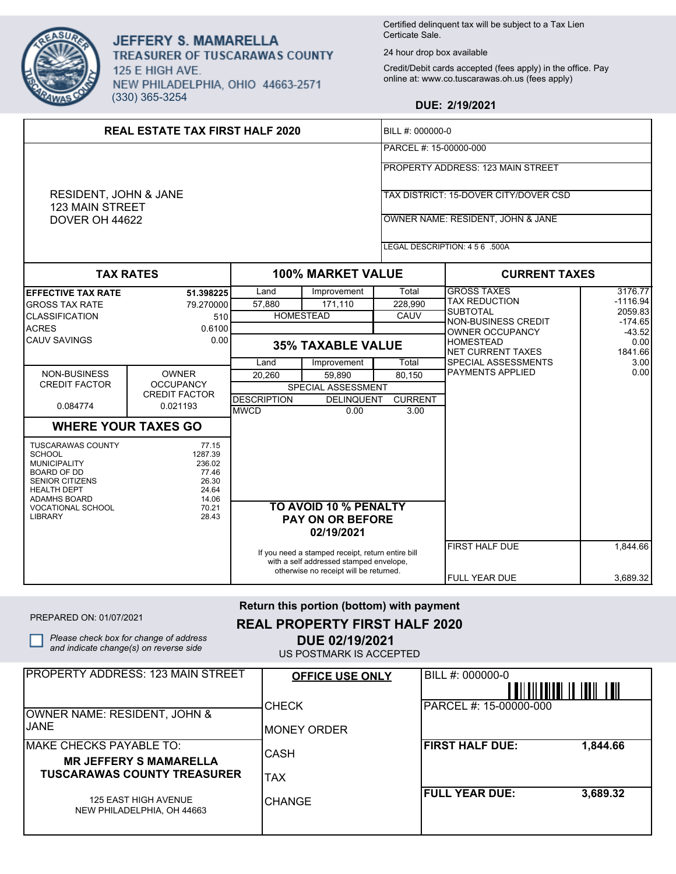

JEFFERY S. MAMARELLA TREASURER OF TUSCARAWAS COUNTY 125 E HIGH AVE. NEW PHILADELPHIA, OHIO 44663-2571 (330) 365-3254

NEW PHILADELPHIA, OH 44663

Certified delinquent tax will be subject to a Tax Lien Certicate Sale.

24 hour drop box available

Credit/Debit cards accepted (fees apply) in the office. Pay online at: www.co.tuscarawas.oh.us (fees apply)

## **DUE: 2/19/2021**

| <b>REAL ESTATE TAX FIRST HALF 2020</b>                                                                                                                                                                      |                                                                                  |                          |                                                                                                                                |                                                           | BILL #: 000000-0                             |                      |  |
|-------------------------------------------------------------------------------------------------------------------------------------------------------------------------------------------------------------|----------------------------------------------------------------------------------|--------------------------|--------------------------------------------------------------------------------------------------------------------------------|-----------------------------------------------------------|----------------------------------------------|----------------------|--|
|                                                                                                                                                                                                             |                                                                                  |                          |                                                                                                                                |                                                           | PARCEL #: 15-00000-000                       |                      |  |
|                                                                                                                                                                                                             |                                                                                  |                          |                                                                                                                                |                                                           | <b>PROPERTY ADDRESS: 123 MAIN STREET</b>     |                      |  |
| RESIDENT, JOHN & JANE                                                                                                                                                                                       |                                                                                  |                          |                                                                                                                                | TAX DISTRICT: 15-DOVER CITY/DOVER CSD                     |                                              |                      |  |
| <b>123 MAIN STREET</b><br>DOVER OH 44622                                                                                                                                                                    |                                                                                  |                          |                                                                                                                                |                                                           | OWNER NAME: RESIDENT, JOHN & JANE            |                      |  |
|                                                                                                                                                                                                             |                                                                                  |                          |                                                                                                                                |                                                           |                                              |                      |  |
|                                                                                                                                                                                                             |                                                                                  |                          |                                                                                                                                |                                                           | LEGAL DESCRIPTION: 4 5 6 .500A               |                      |  |
| <b>TAX RATES</b>                                                                                                                                                                                            |                                                                                  | <b>100% MARKET VALUE</b> |                                                                                                                                | <b>CURRENT TAXES</b>                                      |                                              |                      |  |
| <b>EFFECTIVE TAX RATE</b>                                                                                                                                                                                   | 51.398225                                                                        | Land                     | Improvement                                                                                                                    | Total                                                     | <b>GROSS TAXES</b>                           | 3176.77              |  |
| <b>GROSS TAX RATE</b>                                                                                                                                                                                       | 79.270000                                                                        | 57,880                   | 171,110                                                                                                                        | 228,990                                                   | TAX REDUCTION                                | $-1116.94$           |  |
| <b>CLASSIFICATION</b>                                                                                                                                                                                       | 510                                                                              |                          | <b>HOMESTEAD</b>                                                                                                               | CAUV                                                      | SUBTOTAL                                     | 2059.83<br>$-174.65$ |  |
| <b>ACRES</b>                                                                                                                                                                                                | 0.6100                                                                           |                          |                                                                                                                                |                                                           | NON-BUSINESS CREDIT<br>OWNER OCCUPANCY       | $-43.52$             |  |
| <b>CAUV SAVINGS</b>                                                                                                                                                                                         | 0.00                                                                             |                          | <b>35% TAXABLE VALUE</b>                                                                                                       |                                                           | <b>HOMESTEAD</b><br><b>NET CURRENT TAXES</b> | 0.00<br>1841.66      |  |
|                                                                                                                                                                                                             |                                                                                  | Land                     | Improvement                                                                                                                    | Total                                                     | SPECIAL ASSESSMENTS                          | 3.00                 |  |
| NON-BUSINESS                                                                                                                                                                                                | <b>OWNER</b>                                                                     | 20,260                   | 59,890                                                                                                                         | 80,150                                                    | PAYMENTS APPLIED                             | 0.00                 |  |
| <b>CREDIT FACTOR</b>                                                                                                                                                                                        | <b>OCCUPANCY</b>                                                                 |                          | SPECIAL ASSESSMENT                                                                                                             |                                                           |                                              |                      |  |
|                                                                                                                                                                                                             | <b>CREDIT FACTOR</b>                                                             | <b>DESCRIPTION</b>       | <b>DELINQUENT</b>                                                                                                              | <b>CURRENT</b>                                            |                                              |                      |  |
| 0.084774                                                                                                                                                                                                    | 0.021193                                                                         | <b>MWCD</b>              | 0.00                                                                                                                           | 3.00                                                      |                                              |                      |  |
|                                                                                                                                                                                                             | <b>WHERE YOUR TAXES GO</b>                                                       |                          |                                                                                                                                |                                                           |                                              |                      |  |
| <b>TUSCARAWAS COUNTY</b><br><b>SCHOOL</b><br><b>MUNICIPALITY</b><br><b>BOARD OF DD</b><br><b>SENIOR CITIZENS</b><br><b>HEALTH DEPT</b><br><b>ADAMHS BOARD</b><br><b>VOCATIONAL SCHOOL</b><br><b>LIBRARY</b> | 77.15<br>1287.39<br>236.02<br>77.46<br>26.30<br>24.64<br>14.06<br>70.21<br>28.43 |                          | TO AVOID 10 % PENALTY<br><b>PAY ON OR BEFORE</b>                                                                               |                                                           |                                              |                      |  |
|                                                                                                                                                                                                             |                                                                                  |                          | 02/19/2021                                                                                                                     |                                                           |                                              |                      |  |
|                                                                                                                                                                                                             |                                                                                  |                          | If you need a stamped receipt, return entire bill<br>with a self addressed stamped envelope,                                   |                                                           | <b>FIRST HALF DUE</b>                        | 1,844.66             |  |
|                                                                                                                                                                                                             |                                                                                  |                          | otherwise no receipt will be returned.                                                                                         |                                                           | <b>FULL YEAR DUE</b>                         | 3,689.32             |  |
| PREPARED ON: 01/07/2021                                                                                                                                                                                     | Please check box for change of address<br>and indicate change(s) on reverse side |                          | Return this portion (bottom) with payment<br><b>REAL PROPERTY FIRST HALF 2020</b><br>DUE 02/19/2021<br>US POSTMARK IS ACCEPTED |                                                           |                                              |                      |  |
|                                                                                                                                                                                                             | <b>PROPERTY ADDRESS: 123 MAIN STREET</b>                                         |                          | <b>OFFICE USE ONLY</b>                                                                                                         |                                                           | BILL #: 000000-0                             |                      |  |
| <b>OWNER NAME: RESIDENT, JOHN &amp;</b>                                                                                                                                                                     |                                                                                  | CHECK                    |                                                                                                                                | <u>Allalladia in taite a an</u><br>PARCEL #: 15-00000-000 |                                              |                      |  |
| <b>JANE</b>                                                                                                                                                                                                 |                                                                                  | <b>MONEY ORDER</b>       |                                                                                                                                |                                                           |                                              |                      |  |
| <b>MAKE CHECKS PAYABLE TO:</b>                                                                                                                                                                              | CASH                                                                             |                          |                                                                                                                                | <b>FIRST HALF DUE:</b>                                    | 1,844.66                                     |                      |  |
| <b>MR JEFFERY S MAMARELLA</b><br><b>TUSCARAWAS COUNTY TREASURER</b>                                                                                                                                         | <b>TAX</b>                                                                       |                          |                                                                                                                                |                                                           |                                              |                      |  |
| <b>125 EAST HIGH AVENUE</b>                                                                                                                                                                                 |                                                                                  | <b>CHANGE</b>            |                                                                                                                                |                                                           | <b>FULL YEAR DUE:</b>                        | 3,689.32             |  |